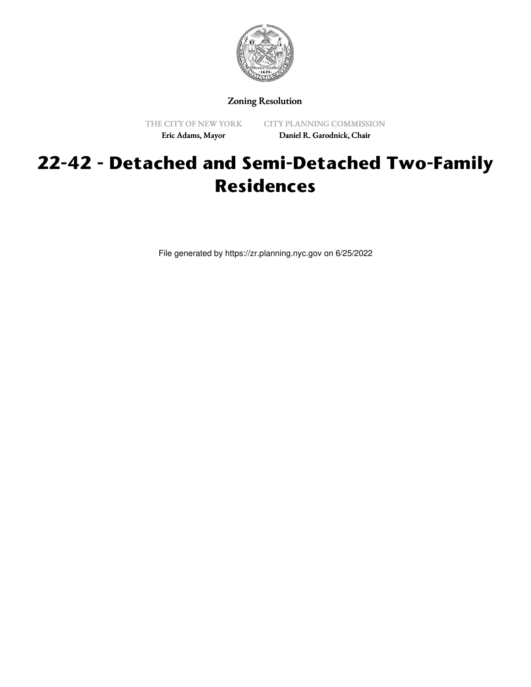

Zoning Resolution

THE CITY OF NEW YORK Eric Adams, Mayor

CITY PLANNING COMMISSION Daniel R. Garodnick, Chair

## **22-42 - Detached and Semi-Detached Two-Family Residences**

File generated by https://zr.planning.nyc.gov on 6/25/2022